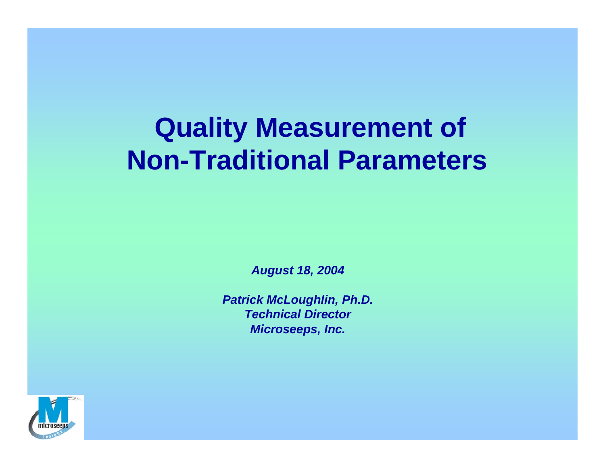## **Quality Measurement of Non-Traditional Parameters**

*August 18, 2004*

*Patrick McLoughlin, Ph.D. Technical DirectorMicroseeps, Inc.*

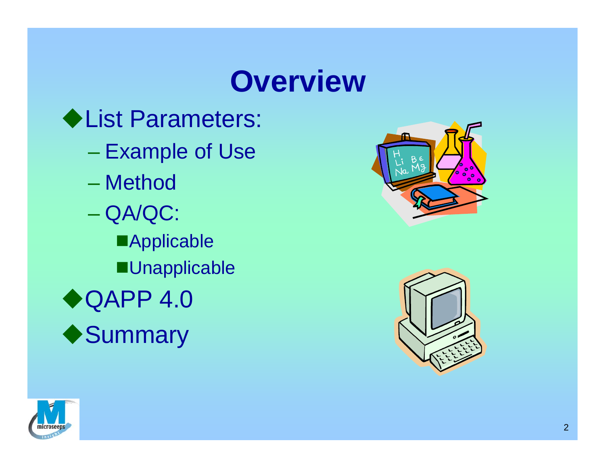## **Overview**

◆List Parameters: – Example of Use – Method QA/QC: **Applicable Unapplicable** ◆QAPP 4.0 ◆ Summary





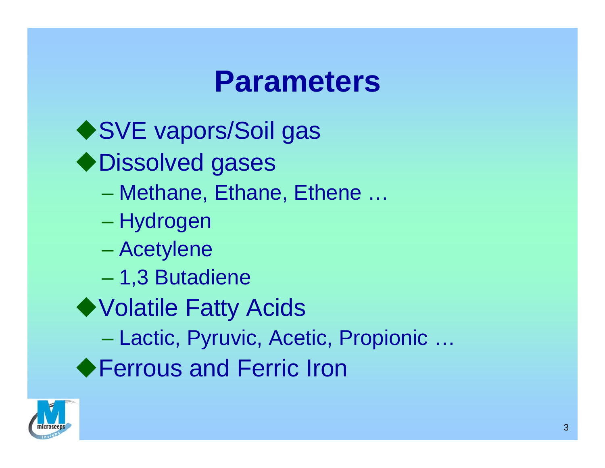### **Parameters**

◆ SVE vapors/Soil gas ◆ Dissolved gases Methane, Ethane, Ethene … – Hydrogen Acetylene 1,3 Butadiene ◆ Volatile Fatty Acids Lactic, Pyruvic, Acetic, Propionic … ◆ Ferrous and Ferric Iron

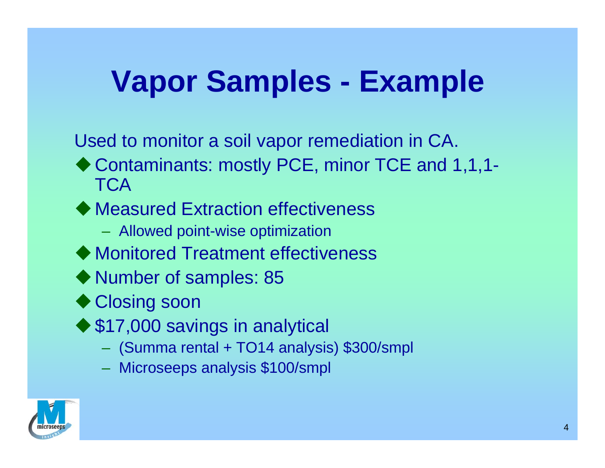# **Vapor Samples - Example**

Used to monitor a soil vapor remediation in CA.

- ◆ Contaminants: mostly PCE, minor TCE and 1,1,1-**TCA**
- ◆ Measured Extraction effectiveness
	- Allowed point-wise optimization
- ◆ Monitored Treatment effectiveness
- ◆ Number of samples: 85
- ◆ Closing soon
- ◆ \$17,000 savings in analytical
	- (Summa rental + TO14 analysis) \$300/smpl
	- Microseeps analysis \$100/smpl

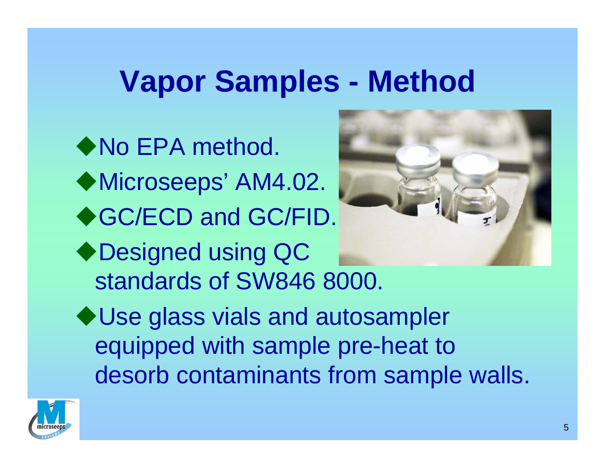# **Vapor Samples - Method**

◆ No EPA method. ◆Microseeps' AM4.02. ◆GC/ECD and GC/FID. ◆Designed using QC standards of SW846 8000. ◆ Use glass vials and autosampler equipped with sample pre-heat to desorb contaminants from sample walls.

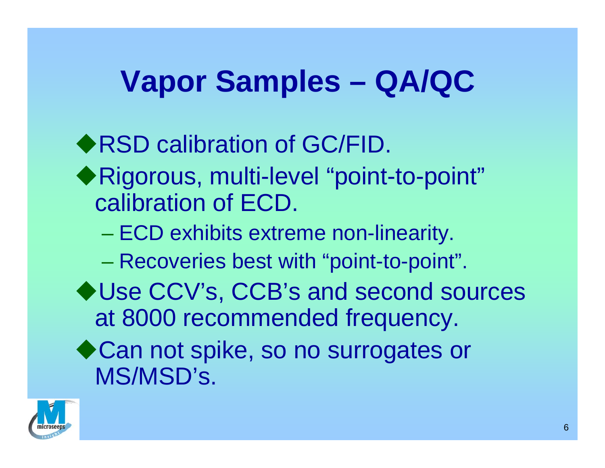# **Vapor Samples – QA/QC**

◆RSD calibration of GC/FID. Rigorous, multi-level "point-to-point" calibration of ECD. – ECD exhibits extreme non-linearity. Recoveries best with "point-to-point". ◆ Use CCV's, CCB's and second sources at 8000 recommended frequency. ◆ Can not spike, so no surrogates or MS/MSD's.

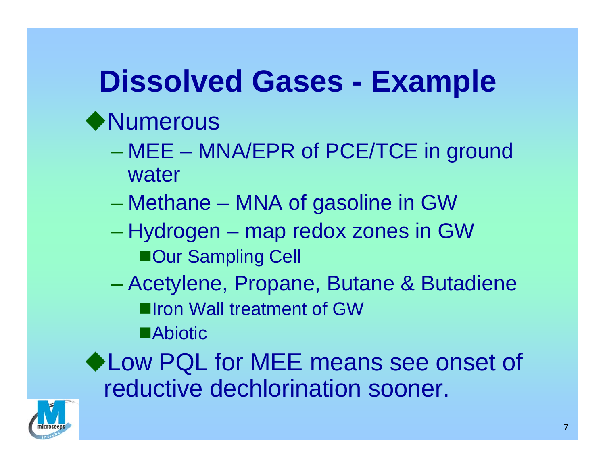# **Dissolved Gases - Example**

#### ◆ Numerous

- MEE MNA/EPR of PCE/TCE in ground water
- Methane MNA of gasoline in GW
- Hydrogen map redox zones in GW ■Our Sampling Cell
- Acetylene, Propane, Butane & Butadiene **Illron Wall treatment of GW Example 20**

◆ Low PQL for MEE means see onset of reductive dechlorination sooner.

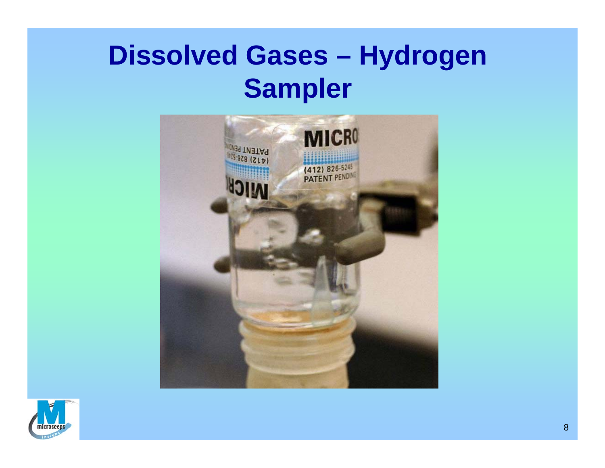#### **Dissolved Gases – Hydrogen Sampler**



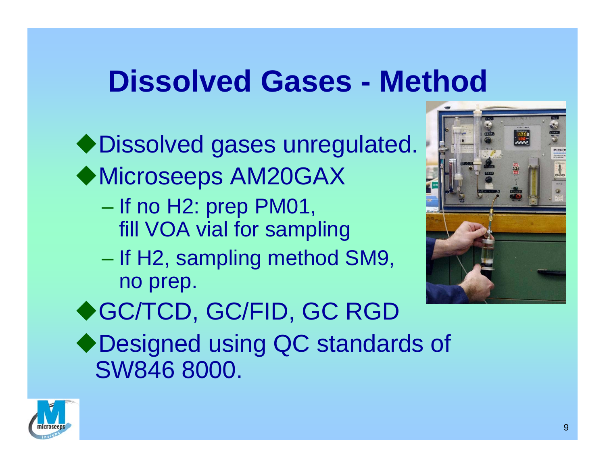### **Dissolved Gases - Method**

Dissolved gases unregulated. Microseeps AM20GAX

- If no H2: prep PM01, fill VOA vial for sampling
- If H2, sampling method SM9, no prep.



◆GC/TCD, GC/FID, GC RGD

◆ Designed using QC standards of SW846 8000.

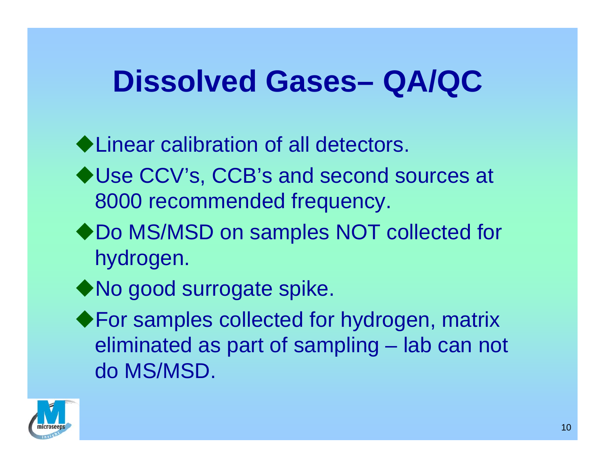### **Dissolved Gases– QA/QC**

◆ Linear calibration of all detectors.

- ◆ Use CCV's, CCB's and second sources at 8000 recommended frequency.
- ◆ Do MS/MSD on samples NOT collected for hydrogen.
- ◆ No good surrogate spike.
- ◆ For samples collected for hydrogen, matrix eliminated as part of sampling – lab can not do MS/MSD.

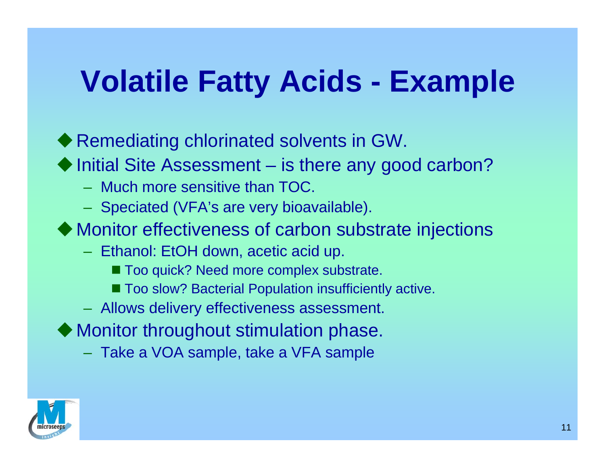# **Volatile Fatty Acids - Example**

 $\blacklozenge$  Remediating chlorinated solvents in GW.

◆ Initial Site Assessment – is there any good carbon?

- Much more sensitive than TOC.
- $-$  Speciated (VFA's are very bioavailable).
- -Monitor effectiveness of carbon substrate injections
	- Ethanol: EtOH down, acetic acid up.
		- Too quick? Need more complex substrate.
		- Too slow? Bacterial Population insufficiently active.
	- Allows delivery effectiveness assessment.
- $\blacklozenge$  Monitor throughout stimulation phase.
	- Take a VOA sample, take a VFA sample

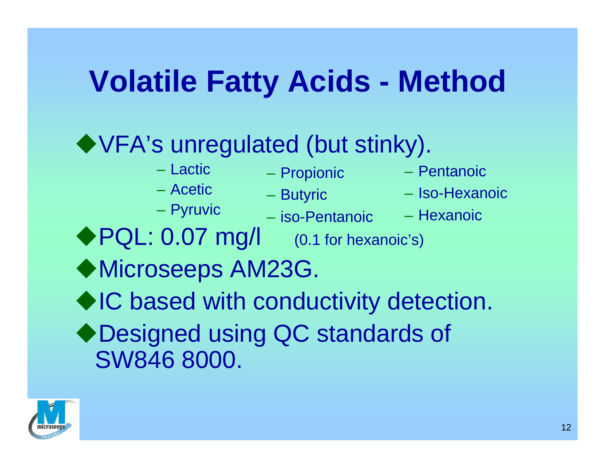# **Volatile Fatty Acids - Method**

#### VFA's unregulated (but stinky).

– Lactic

– Acetic

- Propionic
- 
- Pyruvic
- Butyric
- iso-Pentanoic
- Pentanoic
- Iso-Hexanoic
- Hexanoic
- ◆ PQL: 0.07 mg/l (0.1 for hexanoic's)
- Microseeps AM23G.
- ◆IC based with conductivity detection. ◆ Designed using QC standards of SW846 8000.

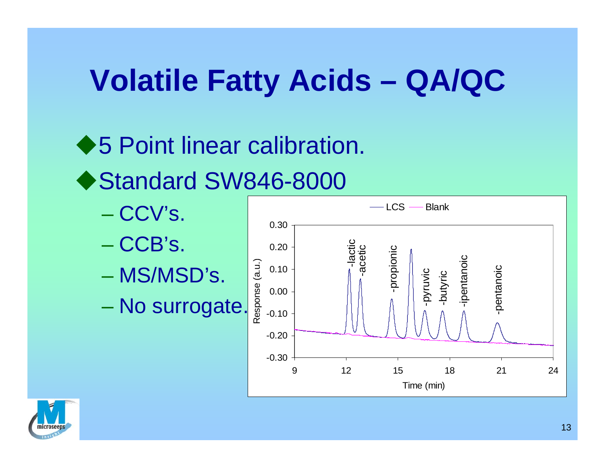# **Volatile Fatty Acids – QA/QC**

◆5 Point linear calibration. ◆ Standard SW846-8000

- CCV's.
- CCB's.
- MS/MSD's.
- No surrogate.



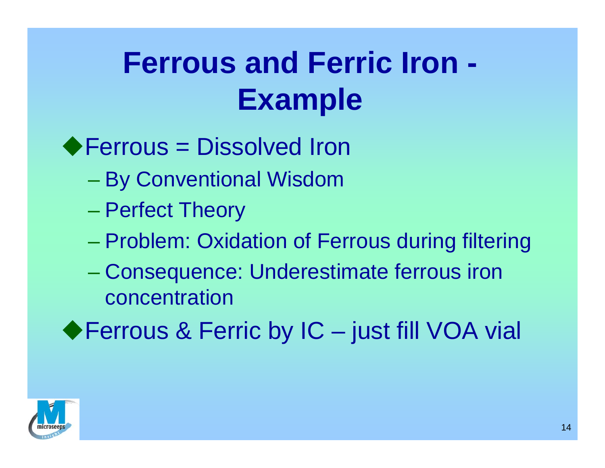# **Ferrous and Ferric Iron - Example**

#### ◆ Ferrous = Dissolved Iron

- By Conventional Wisdom
- Perfect Theory
- Problem: Oxidation of Ferrous during filtering
- Consequence: Underestimate ferrous iron concentration
- ◆ Ferrous & Ferric by IC just fill VOA vial

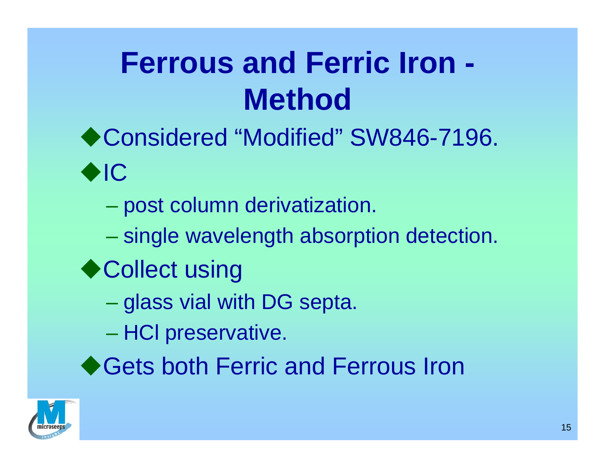# **Ferrous and Ferric Iron - Method**

- ◆ Considered "Modified" SW846-7196.  $\bigodot$ 
	- post column derivatization.
	- $\mathcal{L}_{\mathcal{A}}$ single wavelength absorption detection.
- ◆ Collect using
	- glass vial with DG septa.
	- HCI preservative.
- ◆ Gets both Ferric and Ferrous Iron

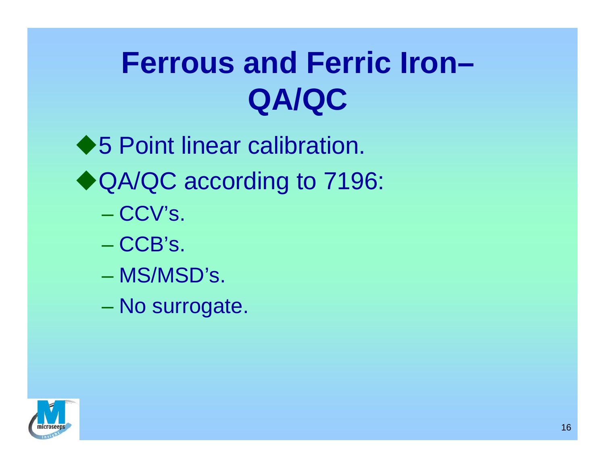# **Ferrous and Ferric Iron–QA/QC**

◆5 Point linear calibration. ◆ QA/QC according to 7196: – CCV's. – CCB's. – MS/MSD's.

No surrogate.

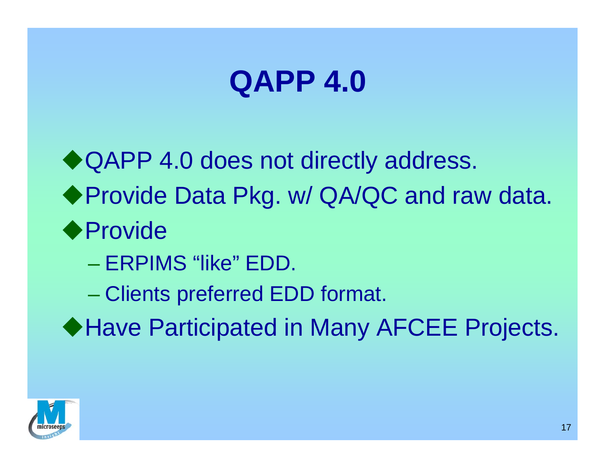# **QAPP 4.0**

◆ QAPP 4.0 does not directly address. ◆ Provide Data Pkg. w/ QA/QC and raw data. ◆ Provide

- ERPIMS "like" EDD.
- Clients preferred EDD format.
- ◆ Have Participated in Many AFCEE Projects.

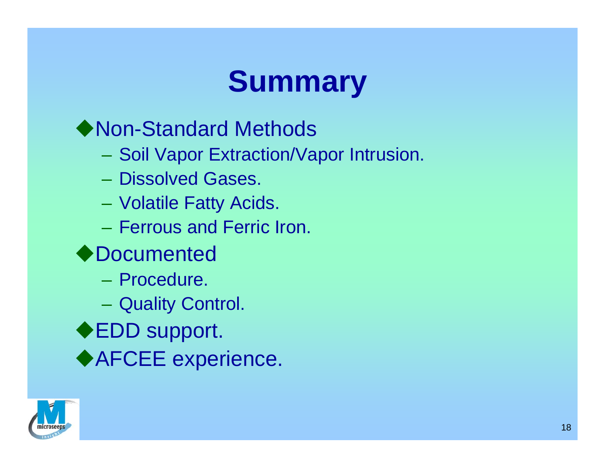# **Summary**

◆ Non-Standard Methods

- Soil Vapor Extraction/Vapor Intrusion.
- Dissolved Gases.
- Volatile Fatty Acids.
- Ferrous and Ferric Iron.
- ◆Documented
	- Procedure.
	- Quality Control.
- ◆EDD support.
- ◆AFCEE experience.